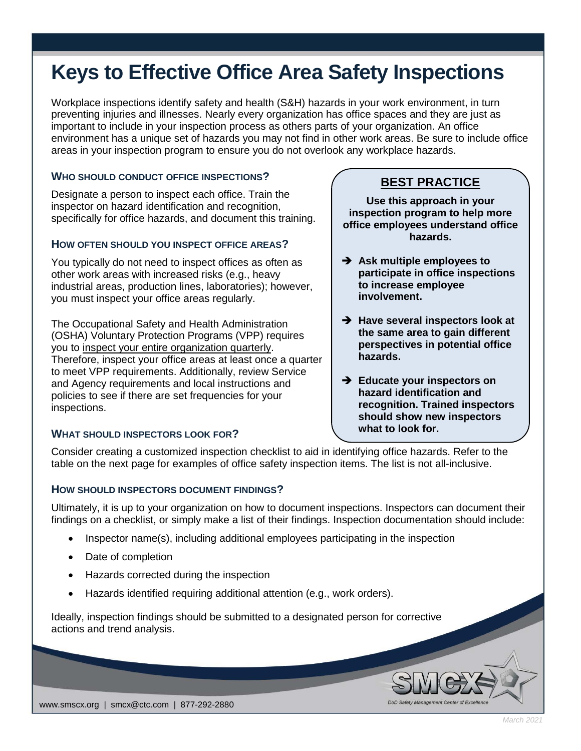# **Keys to Effective Office Area Safety Inspections**

Workplace inspections identify safety and health (S&H) hazards in your work environment, in turn preventing injuries and illnesses. Nearly every organization has office spaces and they are just as important to include in your inspection process as others parts of your organization. An office environment has a unique set of hazards you may not find in other work areas. Be sure to include office areas in your inspection program to ensure you do not overlook any workplace hazards.

## **WHO SHOULD CONDUCT OFFICE INSPECTIONS?**

Designate a person to inspect each office. Train the inspector on hazard identification and recognition, specifically for office hazards, and document this training.

#### **HOW OFTEN SHOULD YOU INSPECT OFFICE AREAS?**

You typically do not need to inspect offices as often as other work areas with increased risks (e.g., heavy industrial areas, production lines, laboratories); however, you must inspect your office areas regularly.

The Occupational Safety and Health Administration (OSHA) Voluntary Protection Programs (VPP) requires you to inspect your entire organization quarterly. Therefore, inspect your office areas at least once a quarter to meet VPP requirements. Additionally, review Service and Agency requirements and local instructions and policies to see if there are set frequencies for your inspections.

## **WHAT SHOULD INSPECTORS LOOK FOR?**

# **BEST PRACTICE**

**Use this approach in your inspection program to help more office employees understand office hazards.**

- **Ask multiple employees to participate in office inspections to increase employee involvement.**
- **Have several inspectors look at the same area to gain different perspectives in potential office hazards.**
- **Educate your inspectors on hazard identification and recognition. Trained inspectors should show new inspectors what to look for.**

DoD Safety Management Center of Exc

Consider creating a customized inspection checklist to aid in identifying office hazards. Refer to the table on the next page for examples of office safety inspection items. The list is not all-inclusive.

#### **HOW SHOULD INSPECTORS DOCUMENT FINDINGS?**

Ultimately, it is up to your organization on how to document inspections. Inspectors can document their findings on a checklist, or simply make a list of their findings. Inspection documentation should include:

- Inspector name(s), including additional employees participating in the inspection
- Date of completion
- Hazards corrected during the inspection
- Hazards identified requiring additional attention (e.g., work orders).

Ideally, inspection findings should be submitted to a designated person for corrective actions and trend analysis.

www.smscx.org | smcx@ctc.com | 877-292-2880